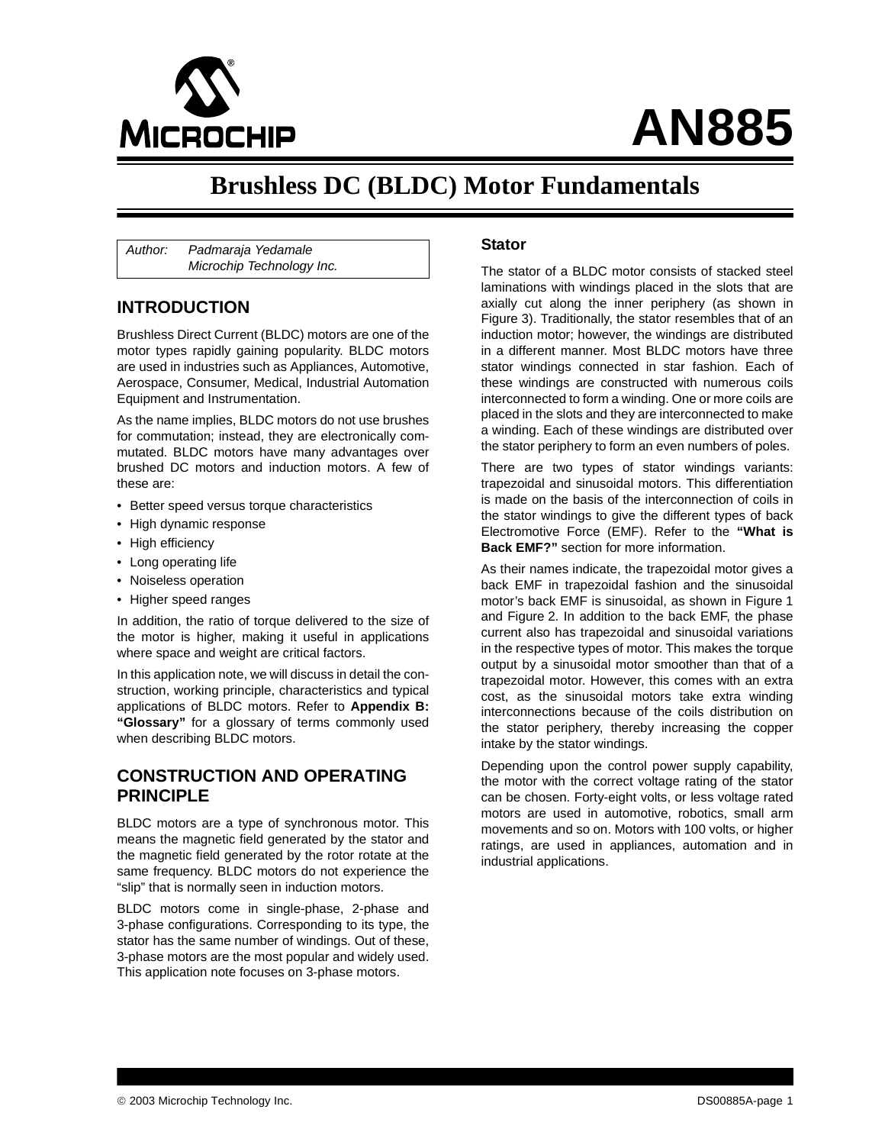

# **AN885**

# **Brushless DC (BLDC) Motor Fundamentals**

*Author: Padmaraja Yedamale Microchip Technology Inc.*

# **INTRODUCTION**

Brushless Direct Current (BLDC) motors are one of the motor types rapidly gaining popularity. BLDC motors are used in industries such as Appliances, Automotive, Aerospace, Consumer, Medical, Industrial Automation Equipment and Instrumentation.

As the name implies, BLDC motors do not use brushes for commutation; instead, they are electronically commutated. BLDC motors have many advantages over brushed DC motors and induction motors. A few of these are:

- Better speed versus torque characteristics
- High dynamic response
- High efficiency
- Long operating life
- Noiseless operation
- Higher speed ranges

In addition, the ratio of torque delivered to the size of the motor is higher, making it useful in applications where space and weight are critical factors.

In this application note, we will discuss in detail the construction, working principle, characteristics and typical applications of BLDC motors. Refer to **[Appendix B:](#page-17-0) ["Glossary"](#page-17-0)** for a glossary of terms commonly used when describing BLDC motors.

# **CONSTRUCTION AND OPERATING PRINCIPLE**

BLDC motors are a type of synchronous motor. This means the magnetic field generated by the stator and the magnetic field generated by the rotor rotate at the same frequency. BLDC motors do not experience the "slip" that is normally seen in induction motors.

BLDC motors come in single-phase, 2-phase and 3-phase configurations. Corresponding to its type, the stator has the same number of windings. Out of these, 3-phase motors are the most popular and widely used. This application note focuses on 3-phase motors.

#### **Stator**

The stator of a BLDC motor consists of stacked steel laminations with windings placed in the slots that are axially cut along the inner periphery (as shown in [Figure 3\)](#page-2-0). Traditionally, the stator resembles that of an induction motor; however, the windings are distributed in a different manner. Most BLDC motors have three stator windings connected in star fashion. Each of these windings are constructed with numerous coils interconnected to form a winding. One or more coils are placed in the slots and they are interconnected to make a winding. Each of these windings are distributed over the stator periphery to form an even numbers of poles.

There are two types of stator windings variants: trapezoidal and sinusoidal motors. This differentiation is made on the basis of the interconnection of coils in the stator windings to give the different types of back Electromotive Force (EMF). Refer to the **["What is](#page-11-0) [Back EMF?"](#page-11-0)** section for more information.

As their names indicate, the trapezoidal motor gives a back EMF in trapezoidal fashion and the sinusoidal motor's back EMF is sinusoidal, as shown in [Figure 1](#page-1-0) and [Figure 2](#page-1-1). In addition to the back EMF, the phase current also has trapezoidal and sinusoidal variations in the respective types of motor. This makes the torque output by a sinusoidal motor smoother than that of a trapezoidal motor. However, this comes with an extra cost, as the sinusoidal motors take extra winding interconnections because of the coils distribution on the stator periphery, thereby increasing the copper intake by the stator windings.

Depending upon the control power supply capability, the motor with the correct voltage rating of the stator can be chosen. Forty-eight volts, or less voltage rated motors are used in automotive, robotics, small arm movements and so on. Motors with 100 volts, or higher ratings, are used in appliances, automation and in industrial applications.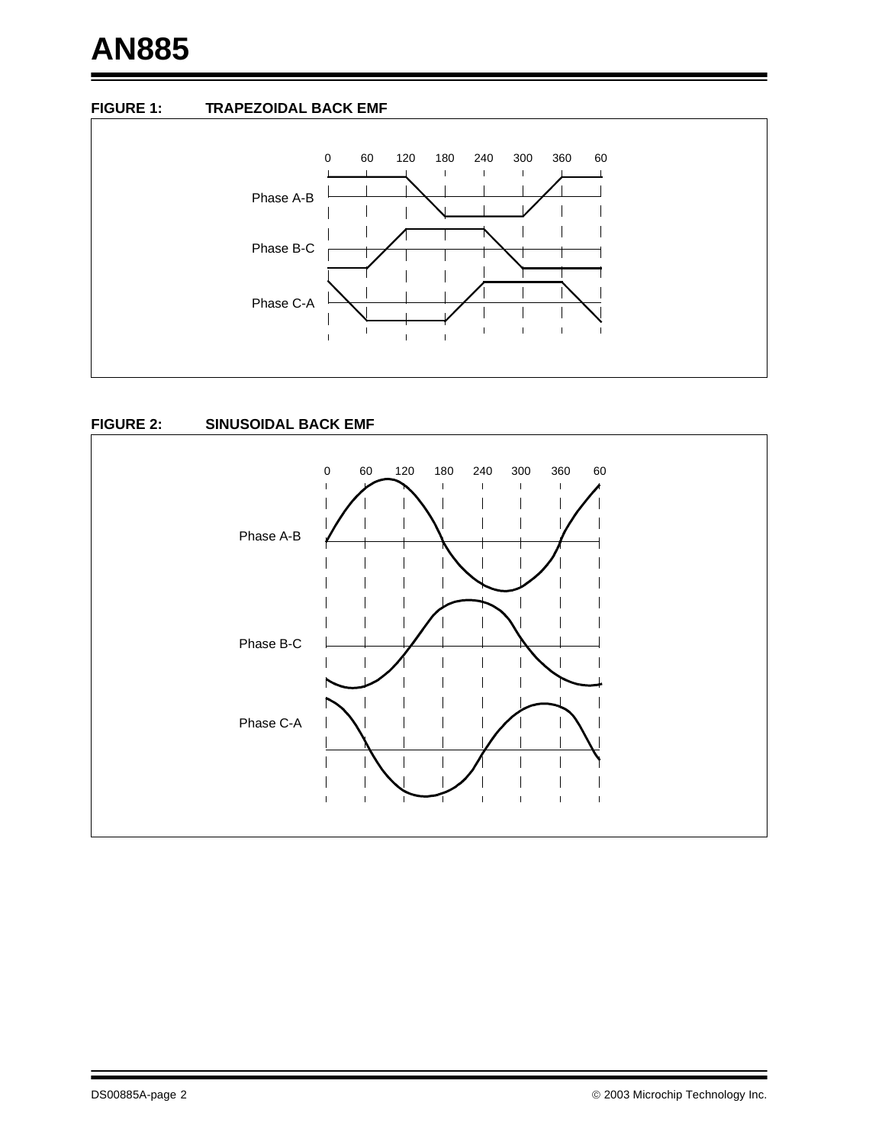# **AN885**

#### <span id="page-1-0"></span>**FIGURE 1: TRAPEZOIDAL BACK EMF**



#### <span id="page-1-1"></span>**FIGURE 2: SINUSOIDAL BACK EMF**

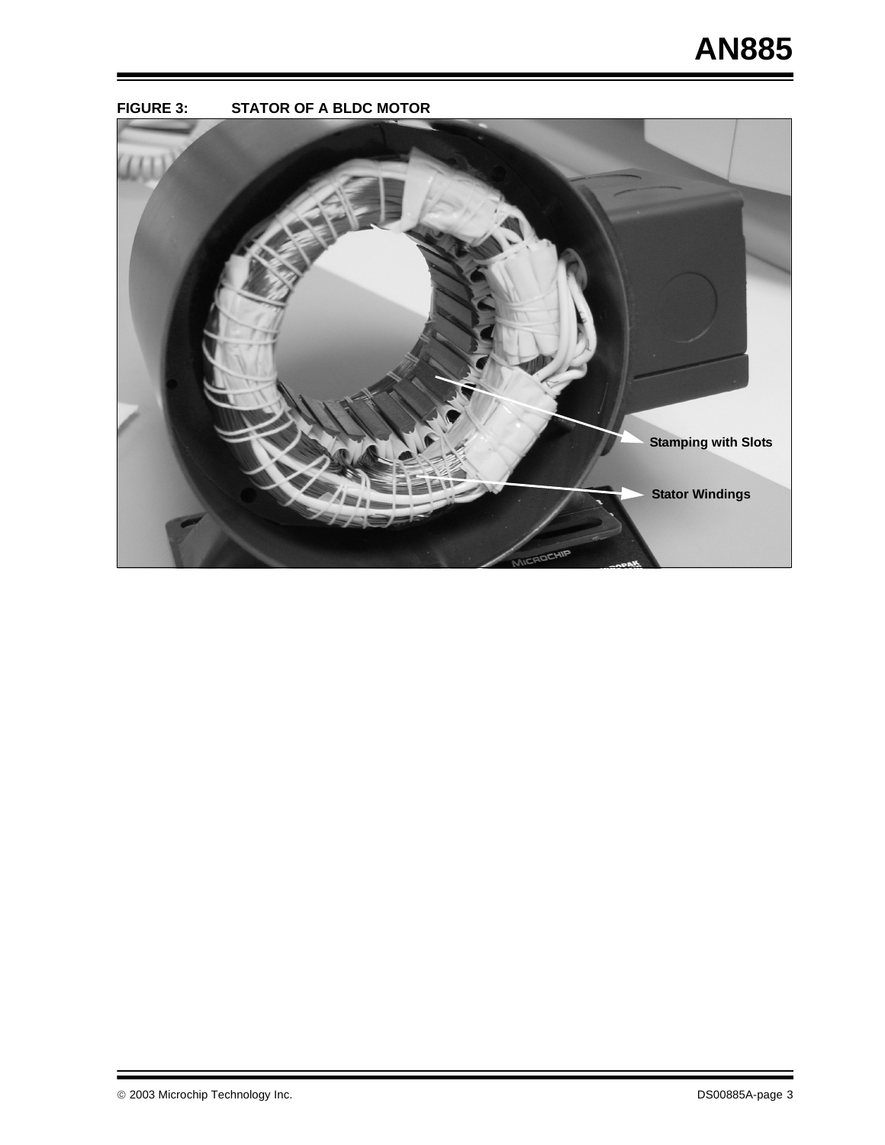<span id="page-2-0"></span>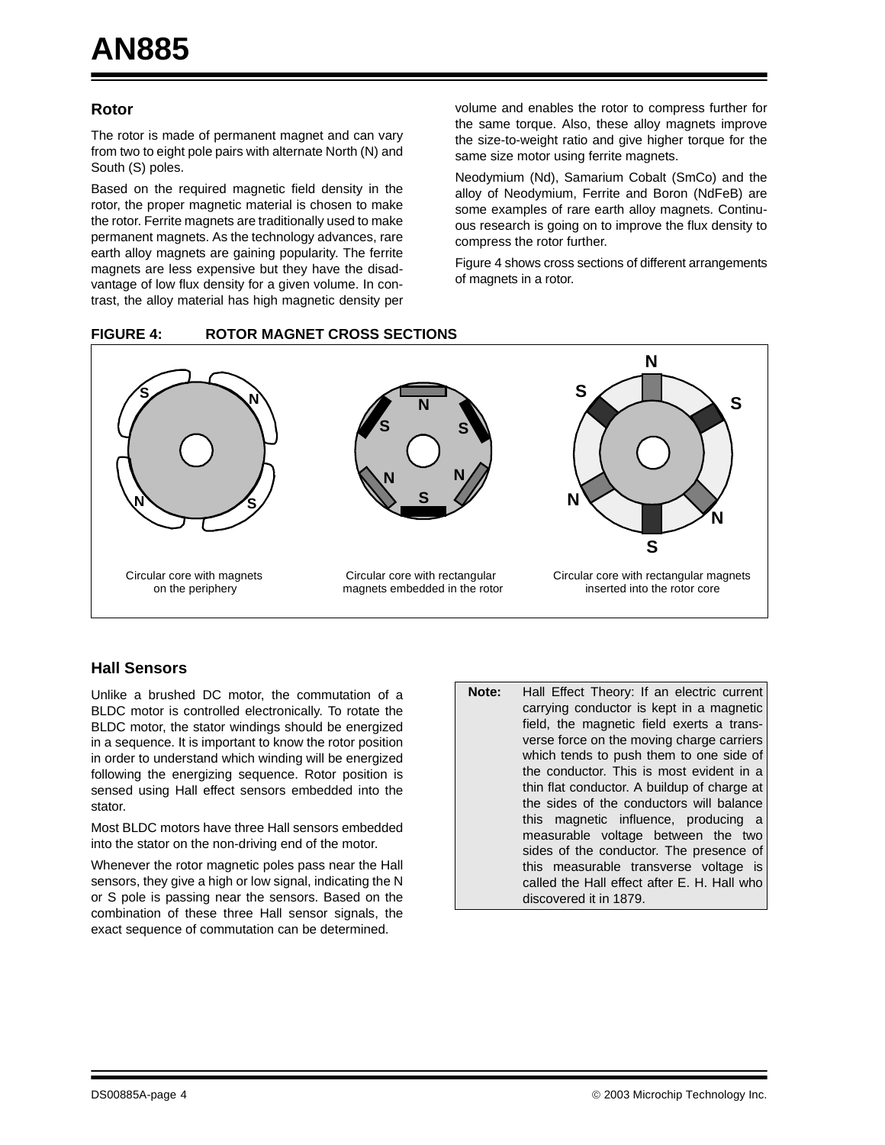#### **Rotor**

The rotor is made of permanent magnet and can vary from two to eight pole pairs with alternate North (N) and South (S) poles.

Based on the required magnetic field density in the rotor, the proper magnetic material is chosen to make the rotor. Ferrite magnets are traditionally used to make permanent magnets. As the technology advances, rare earth alloy magnets are gaining popularity. The ferrite magnets are less expensive but they have the disadvantage of low flux density for a given volume. In contrast, the alloy material has high magnetic density per

volume and enables the rotor to compress further for the same torque. Also, these alloy magnets improve the size-to-weight ratio and give higher torque for the same size motor using ferrite magnets.

Neodymium (Nd), Samarium Cobalt (SmCo) and the alloy of Neodymium, Ferrite and Boron (NdFeB) are some examples of rare earth alloy magnets. Continuous research is going on to improve the flux density to compress the rotor further.

[Figure 4](#page-3-0) shows cross sections of different arrangements of magnets in a rotor.

<span id="page-3-0"></span>

#### <span id="page-3-1"></span>**Hall Sensors**

Unlike a brushed DC motor, the commutation of a BLDC motor is controlled electronically. To rotate the BLDC motor, the stator windings should be energized in a sequence. It is important to know the rotor position in order to understand which winding will be energized following the energizing sequence. Rotor position is sensed using Hall effect sensors embedded into the stator.

Most BLDC motors have three Hall sensors embedded into the stator on the non-driving end of the motor.

Whenever the rotor magnetic poles pass near the Hall sensors, they give a high or low signal, indicating the N or S pole is passing near the sensors. Based on the combination of these three Hall sensor signals, the exact sequence of commutation can be determined.

**Note:** Hall Effect Theory: If an electric current carrying conductor is kept in a magnetic field, the magnetic field exerts a transverse force on the moving charge carriers which tends to push them to one side of the conductor. This is most evident in a thin flat conductor. A buildup of charge at the sides of the conductors will balance this magnetic influence, producing a measurable voltage between the two sides of the conductor. The presence of this measurable transverse voltage is called the Hall effect after E. H. Hall who discovered it in 1879.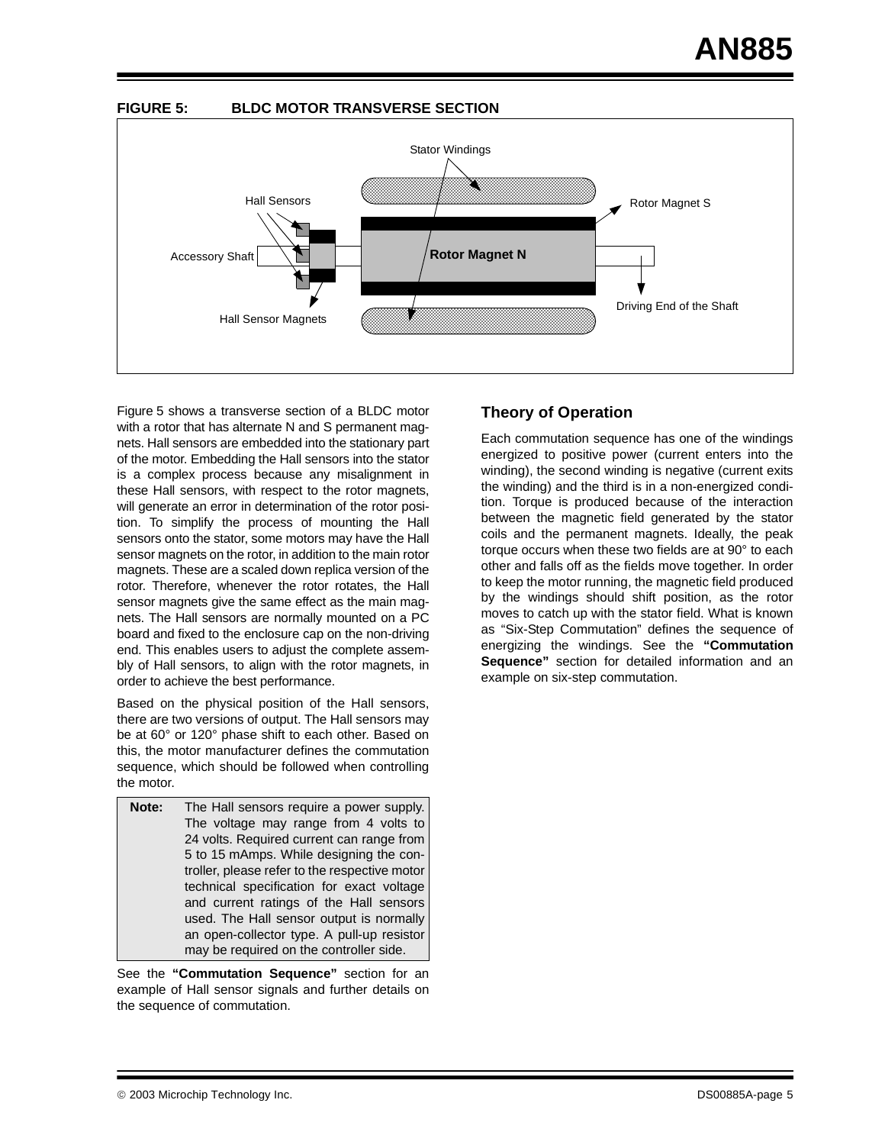<span id="page-4-0"></span>



[Figure 5](#page-4-0) shows a transverse section of a BLDC motor with a rotor that has alternate N and S permanent magnets. Hall sensors are embedded into the stationary part of the motor. Embedding the Hall sensors into the stator is a complex process because any misalignment in these Hall sensors, with respect to the rotor magnets, will generate an error in determination of the rotor position. To simplify the process of mounting the Hall sensors onto the stator, some motors may have the Hall sensor magnets on the rotor, in addition to the main rotor magnets. These are a scaled down replica version of the rotor. Therefore, whenever the rotor rotates, the Hall sensor magnets give the same effect as the main magnets. The Hall sensors are normally mounted on a PC board and fixed to the enclosure cap on the non-driving end. This enables users to adjust the complete assembly of Hall sensors, to align with the rotor magnets, in order to achieve the best performance.

Based on the physical position of the Hall sensors, there are two versions of output. The Hall sensors may be at 60° or 120° phase shift to each other. Based on this, the motor manufacturer defines the commutation sequence, which should be followed when controlling the motor.

**Note:** The Hall sensors require a power supply. The voltage may range from 4 volts to 24 volts. Required current can range from 5 to 15 mAmps. While designing the controller, please refer to the respective motor technical specification for exact voltage and current ratings of the Hall sensors used. The Hall sensor output is normally an open-collector type. A pull-up resistor may be required on the controller side.

See the **["Commutation Sequence"](#page-7-0)** section for an example of Hall sensor signals and further details on the sequence of commutation.

# **Theory of Operation**

Each commutation sequence has one of the windings energized to positive power (current enters into the winding), the second winding is negative (current exits the winding) and the third is in a non-energized condition. Torque is produced because of the interaction between the magnetic field generated by the stator coils and the permanent magnets. Ideally, the peak torque occurs when these two fields are at 90° to each other and falls off as the fields move together. In order to keep the motor running, the magnetic field produced by the windings should shift position, as the rotor moves to catch up with the stator field. What is known as "Six-Step Commutation" defines the sequence of energizing the windings. See the **["Commutation](#page-7-0) [Sequence"](#page-7-0)** section for detailed information and an example on six-step commutation.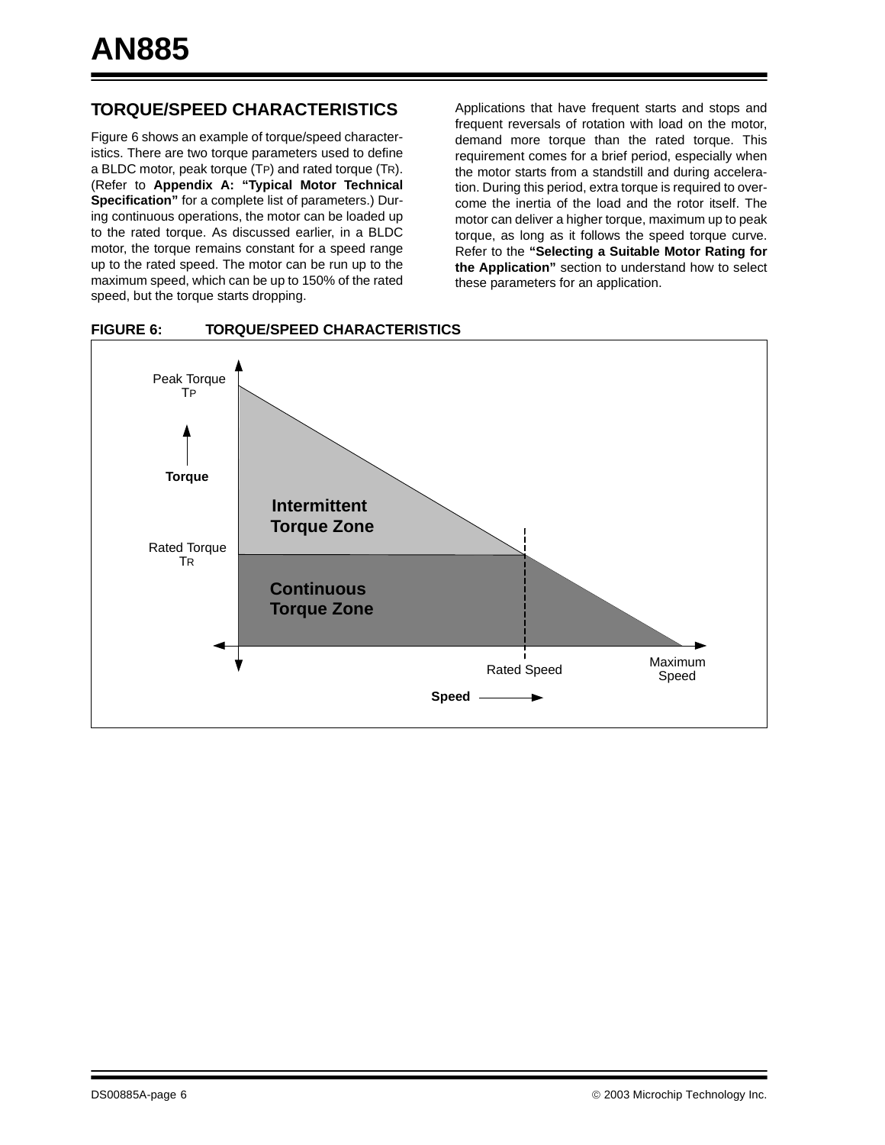# **TORQUE/SPEED CHARACTERISTICS**

[Figure 6](#page-5-0) shows an example of torque/speed characteristics. There are two torque parameters used to define a BLDC motor, peak torque (TP) and rated torque (TR). (Refer to **[Appendix A: "Typical Motor Technical](#page-16-0) [Specification"](#page-16-0)** for a complete list of parameters.) During continuous operations, the motor can be loaded up to the rated torque. As discussed earlier, in a BLDC motor, the torque remains constant for a speed range up to the rated speed. The motor can be run up to the maximum speed, which can be up to 150% of the rated speed, but the torque starts dropping.

Applications that have frequent starts and stops and frequent reversals of rotation with load on the motor, demand more torque than the rated torque. This requirement comes for a brief period, especially when the motor starts from a standstill and during acceleration. During this period, extra torque is required to overcome the inertia of the load and the rotor itself. The motor can deliver a higher torque, maximum up to peak torque, as long as it follows the speed torque curve. Refer to the **["Selecting a Suitable Motor Rating for](#page-13-0) [the Application"](#page-13-0)** section to understand how to select these parameters for an application.



<span id="page-5-0"></span>**FIGURE 6: TORQUE/SPEED CHARACTERISTICS**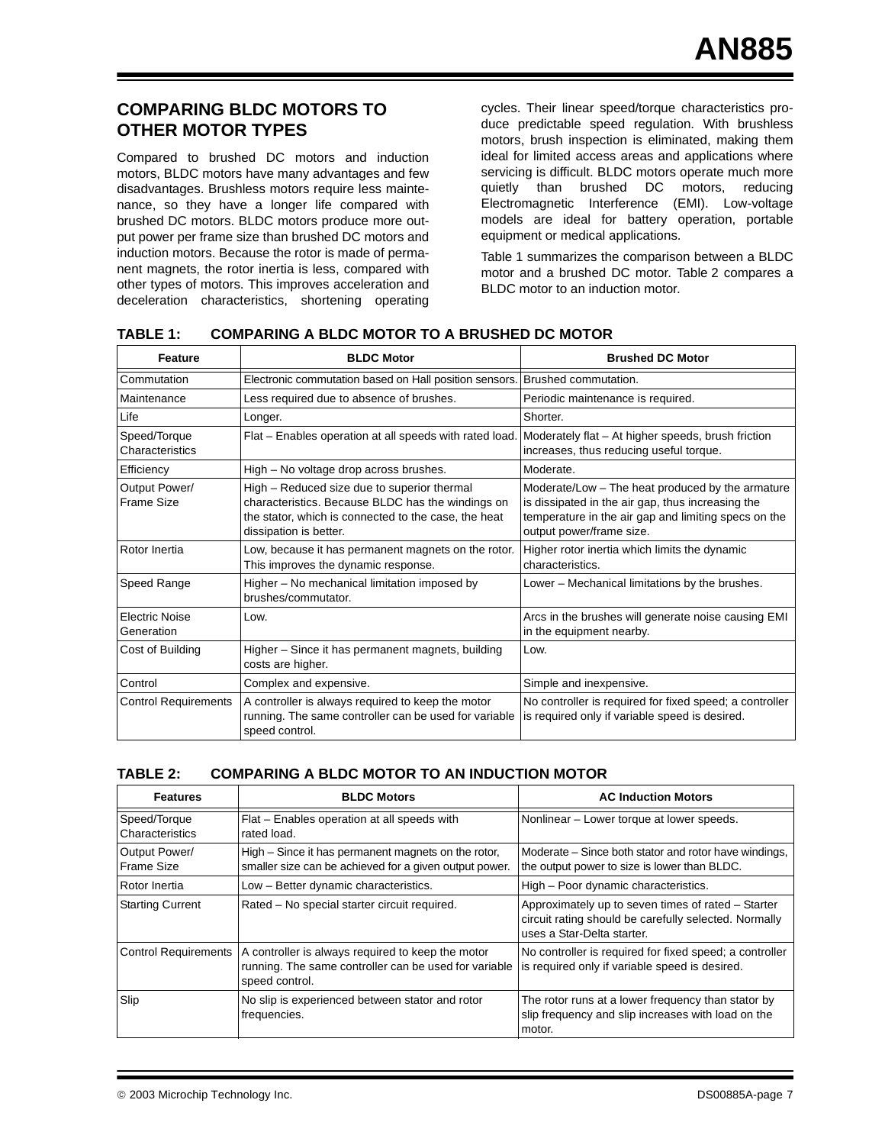# **COMPARING BLDC MOTORS TO OTHER MOTOR TYPES**

Compared to brushed DC motors and induction motors, BLDC motors have many advantages and few disadvantages. Brushless motors require less maintenance, so they have a longer life compared with brushed DC motors. BLDC motors produce more output power per frame size than brushed DC motors and induction motors. Because the rotor is made of permanent magnets, the rotor inertia is less, compared with other types of motors. This improves acceleration and deceleration characteristics, shortening operating cycles. Their linear speed/torque characteristics produce predictable speed regulation. With brushless motors, brush inspection is eliminated, making them ideal for limited access areas and applications where servicing is difficult. BLDC motors operate much more quietly than brushed DC motors, reducing Electromagnetic Interference (EMI). Low-voltage models are ideal for battery operation, portable equipment or medical applications.

[Table 1](#page-6-0) summarizes the comparison between a BLDC motor and a brushed DC motor. [Table 2](#page-6-1) compares a BLDC motor to an induction motor.

| <b>Feature</b>                  | <b>BLDC Motor</b>                                                                                                                                                                  | <b>Brushed DC Motor</b>                                                                                                                                                                   |  |  |
|---------------------------------|------------------------------------------------------------------------------------------------------------------------------------------------------------------------------------|-------------------------------------------------------------------------------------------------------------------------------------------------------------------------------------------|--|--|
| Commutation                     | Electronic commutation based on Hall position sensors.                                                                                                                             | Brushed commutation.                                                                                                                                                                      |  |  |
| Maintenance                     | Less required due to absence of brushes.                                                                                                                                           | Periodic maintenance is required.                                                                                                                                                         |  |  |
| Life                            | Longer.                                                                                                                                                                            | Shorter.                                                                                                                                                                                  |  |  |
| Speed/Torque<br>Characteristics | Flat – Enables operation at all speeds with rated load.                                                                                                                            | Moderately flat – At higher speeds, brush friction<br>increases, thus reducing useful torque.                                                                                             |  |  |
| Efficiency                      | High - No voltage drop across brushes.                                                                                                                                             | Moderate.                                                                                                                                                                                 |  |  |
| Output Power/<br>Frame Size     | High - Reduced size due to superior thermal<br>characteristics. Because BLDC has the windings on<br>the stator, which is connected to the case, the heat<br>dissipation is better. | Moderate/Low - The heat produced by the armature<br>is dissipated in the air gap, thus increasing the<br>temperature in the air gap and limiting specs on the<br>output power/frame size. |  |  |
| Rotor Inertia                   | Low, because it has permanent magnets on the rotor.<br>This improves the dynamic response.                                                                                         | Higher rotor inertia which limits the dynamic<br>characteristics.                                                                                                                         |  |  |
| Speed Range                     | Higher – No mechanical limitation imposed by<br>brushes/commutator.                                                                                                                | Lower – Mechanical limitations by the brushes.                                                                                                                                            |  |  |
| Electric Noise<br>Generation    | Low.                                                                                                                                                                               | Arcs in the brushes will generate noise causing EMI<br>in the equipment nearby.                                                                                                           |  |  |
| Cost of Building                | Higher - Since it has permanent magnets, building<br>costs are higher.                                                                                                             | Low.                                                                                                                                                                                      |  |  |
| Control                         | Complex and expensive.                                                                                                                                                             | Simple and inexpensive.                                                                                                                                                                   |  |  |
| <b>Control Requirements</b>     | A controller is always required to keep the motor<br>running. The same controller can be used for variable<br>speed control.                                                       | No controller is required for fixed speed; a controller<br>is required only if variable speed is desired.                                                                                 |  |  |

#### <span id="page-6-0"></span>**TABLE 1: COMPARING A BLDC MOTOR TO A BRUSHED DC MOTOR**

#### <span id="page-6-1"></span>**TABLE 2: COMPARING A BLDC MOTOR TO AN INDUCTION MOTOR**

| <b>Features</b>                    | <b>BLDC Motors</b>                                                                                                           | <b>AC Induction Motors</b>                                                                                                                |  |  |
|------------------------------------|------------------------------------------------------------------------------------------------------------------------------|-------------------------------------------------------------------------------------------------------------------------------------------|--|--|
| Speed/Torque<br>Characteristics    | Flat - Enables operation at all speeds with<br>rated load.                                                                   | Nonlinear - Lower torque at lower speeds.                                                                                                 |  |  |
| Output Power/<br><b>Frame Size</b> | High – Since it has permanent magnets on the rotor,<br>smaller size can be achieved for a given output power.                | Moderate – Since both stator and rotor have windings,<br>the output power to size is lower than BLDC.                                     |  |  |
| Rotor Inertia                      | Low - Better dynamic characteristics.                                                                                        | High - Poor dynamic characteristics.                                                                                                      |  |  |
| <b>Starting Current</b>            | Rated - No special starter circuit required.                                                                                 | Approximately up to seven times of rated – Starter<br>circuit rating should be carefully selected. Normally<br>uses a Star-Delta starter. |  |  |
| <b>Control Requirements</b>        | A controller is always required to keep the motor<br>running. The same controller can be used for variable<br>speed control. | No controller is required for fixed speed; a controller<br>is required only if variable speed is desired.                                 |  |  |
| Slip                               | No slip is experienced between stator and rotor<br>frequencies.                                                              | The rotor runs at a lower frequency than stator by<br>slip frequency and slip increases with load on the<br>motor.                        |  |  |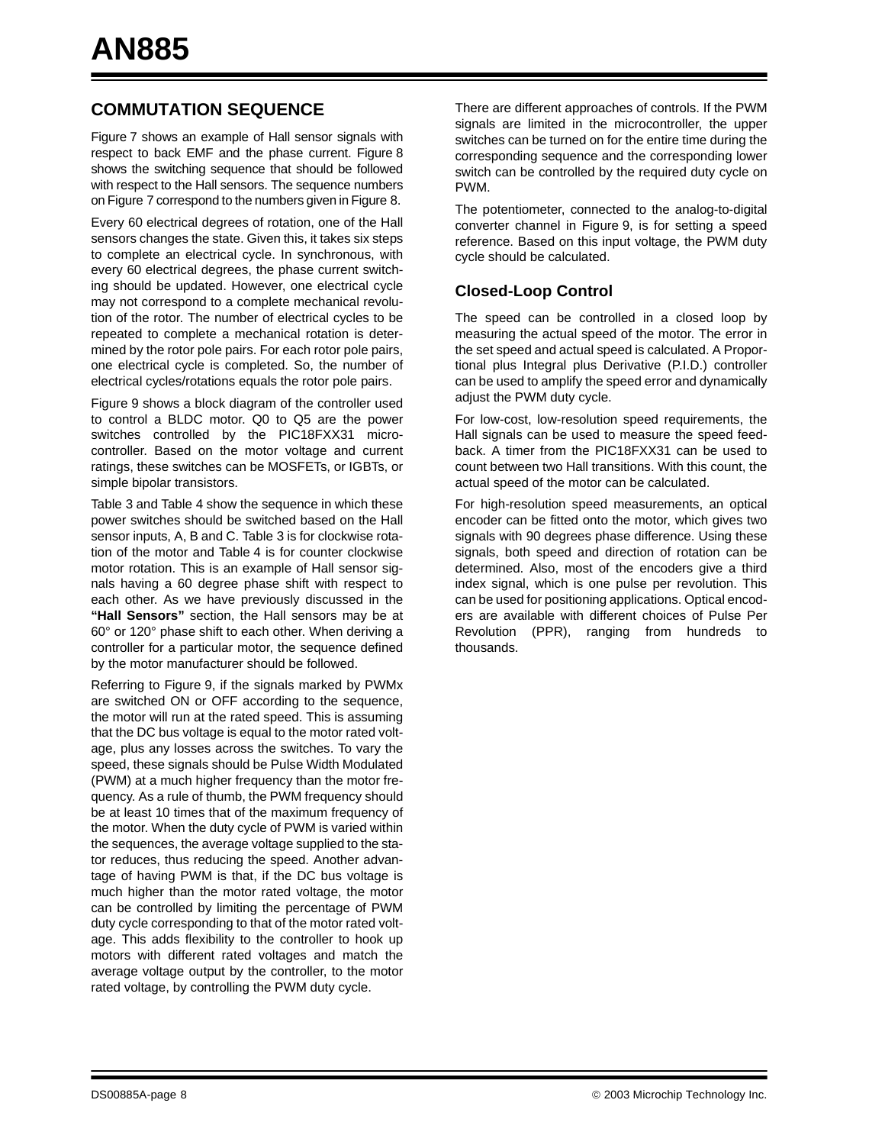# <span id="page-7-0"></span>**COMMUTATION SEQUENCE**

[Figure 7](#page-8-0) shows an example of Hall sensor signals with respect to back EMF and the phase current. [Figure 8](#page-9-0) shows the switching sequence that should be followed with respect to the Hall sensors. The sequence numbers on [Figure 7](#page-8-0) correspond to the numbers given in [Figure 8](#page-9-0).

Every 60 electrical degrees of rotation, one of the Hall sensors changes the state. Given this, it takes six steps to complete an electrical cycle. In synchronous, with every 60 electrical degrees, the phase current switching should be updated. However, one electrical cycle may not correspond to a complete mechanical revolution of the rotor. The number of electrical cycles to be repeated to complete a mechanical rotation is determined by the rotor pole pairs. For each rotor pole pairs, one electrical cycle is completed. So, the number of electrical cycles/rotations equals the rotor pole pairs.

[Figure 9](#page-10-0) shows a block diagram of the controller used to control a BLDC motor. Q0 to Q5 are the power switches controlled by the PIC18FXX31 microcontroller. Based on the motor voltage and current ratings, these switches can be MOSFETs, or IGBTs, or simple bipolar transistors.

[Table 3](#page-10-1) and [Table 4](#page-10-2) show the sequence in which these power switches should be switched based on the Hall sensor inputs, A, B and C. [Table 3](#page-10-1) is for clockwise rotation of the motor and [Table 4](#page-10-2) is for counter clockwise motor rotation. This is an example of Hall sensor signals having a 60 degree phase shift with respect to each other. As we have previously discussed in the **["Hall Sensors"](#page-3-1)** section, the Hall sensors may be at 60° or 120° phase shift to each other. When deriving a controller for a particular motor, the sequence defined by the motor manufacturer should be followed.

Referring to [Figure 9,](#page-10-0) if the signals marked by PWMx are switched ON or OFF according to the sequence, the motor will run at the rated speed. This is assuming that the DC bus voltage is equal to the motor rated voltage, plus any losses across the switches. To vary the speed, these signals should be Pulse Width Modulated (PWM) at a much higher frequency than the motor frequency. As a rule of thumb, the PWM frequency should be at least 10 times that of the maximum frequency of the motor. When the duty cycle of PWM is varied within the sequences, the average voltage supplied to the stator reduces, thus reducing the speed. Another advantage of having PWM is that, if the DC bus voltage is much higher than the motor rated voltage, the motor can be controlled by limiting the percentage of PWM duty cycle corresponding to that of the motor rated voltage. This adds flexibility to the controller to hook up motors with different rated voltages and match the average voltage output by the controller, to the motor rated voltage, by controlling the PWM duty cycle.

There are different approaches of controls. If the PWM signals are limited in the microcontroller, the upper switches can be turned on for the entire time during the corresponding sequence and the corresponding lower switch can be controlled by the required duty cycle on PWM.

The potentiometer, connected to the analog-to-digital converter channel in [Figure 9,](#page-10-0) is for setting a speed reference. Based on this input voltage, the PWM duty cycle should be calculated.

# **Closed-Loop Control**

The speed can be controlled in a closed loop by measuring the actual speed of the motor. The error in the set speed and actual speed is calculated. A Proportional plus Integral plus Derivative (P.I.D.) controller can be used to amplify the speed error and dynamically adjust the PWM duty cycle.

For low-cost, low-resolution speed requirements, the Hall signals can be used to measure the speed feedback. A timer from the PIC18FXX31 can be used to count between two Hall transitions. With this count, the actual speed of the motor can be calculated.

For high-resolution speed measurements, an optical encoder can be fitted onto the motor, which gives two signals with 90 degrees phase difference. Using these signals, both speed and direction of rotation can be determined. Also, most of the encoders give a third index signal, which is one pulse per revolution. This can be used for positioning applications. Optical encoders are available with different choices of Pulse Per Revolution (PPR), ranging from hundreds to thousands.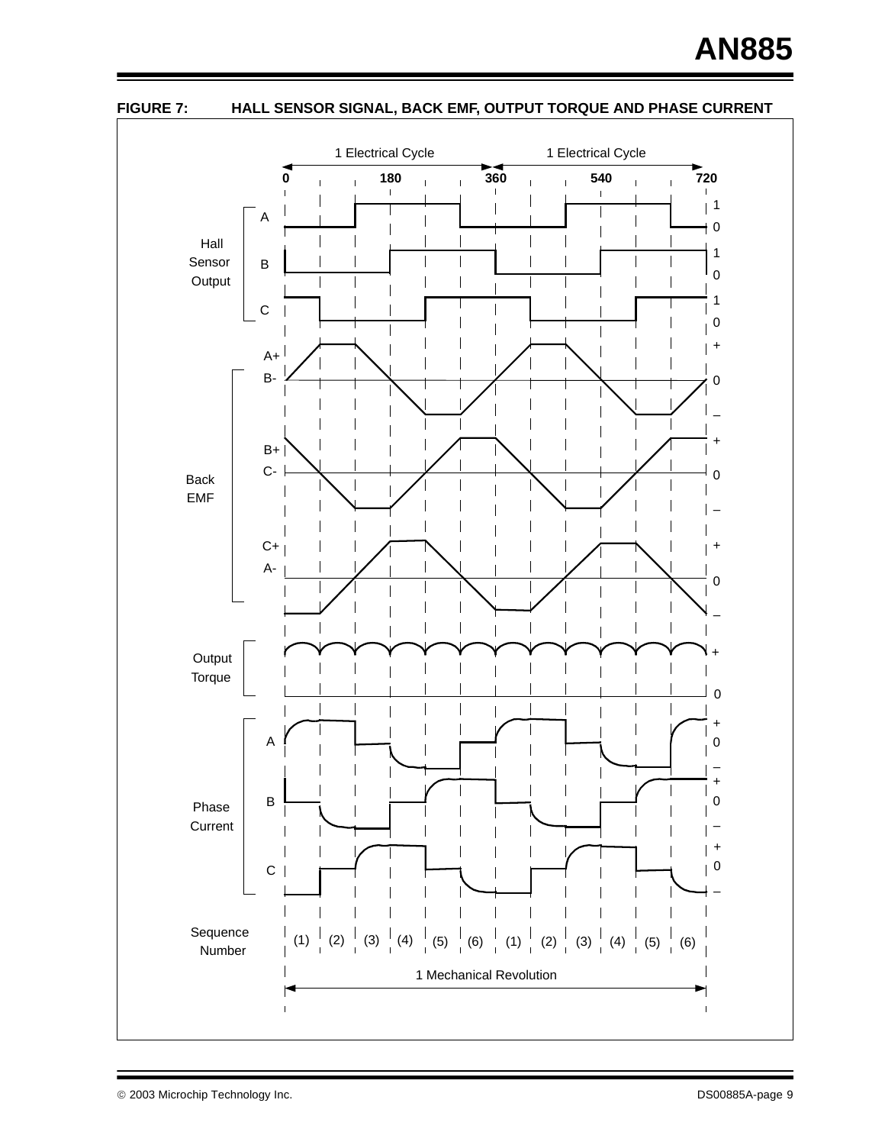<span id="page-8-0"></span>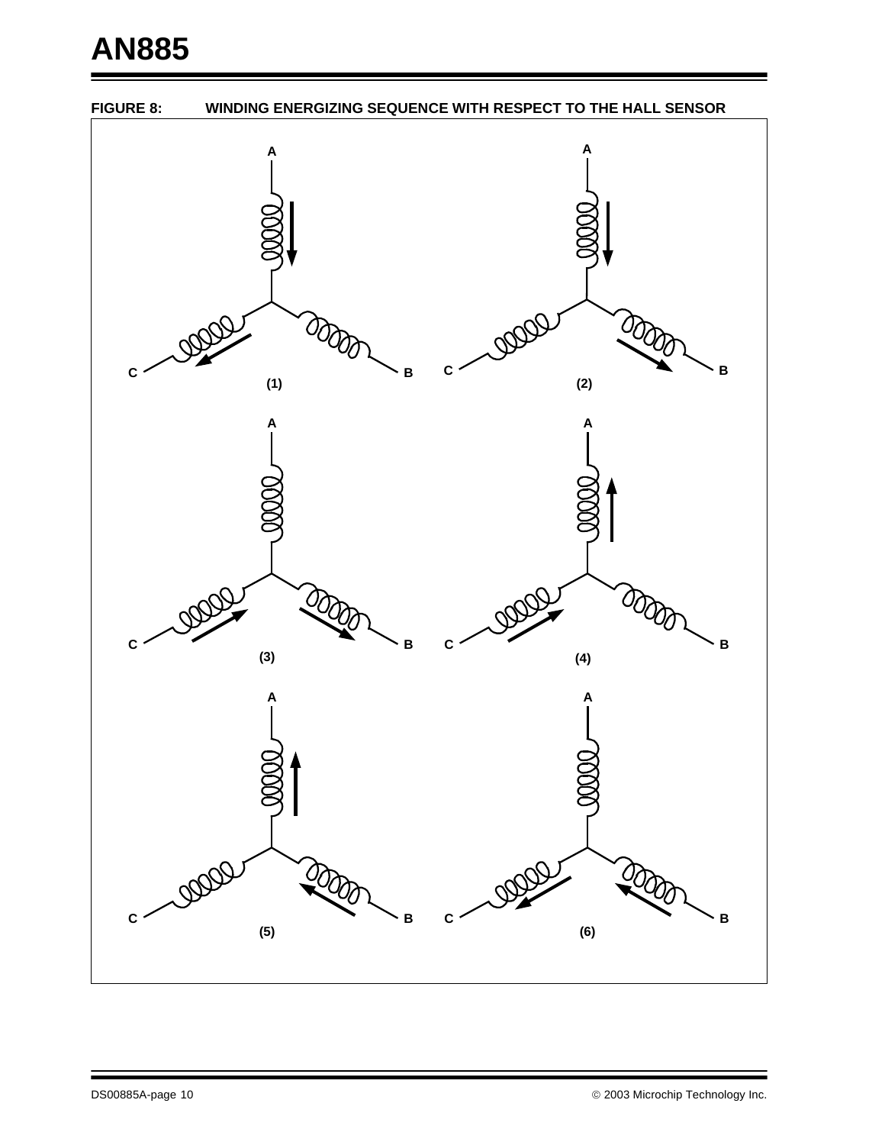# **AN885**

<span id="page-9-0"></span>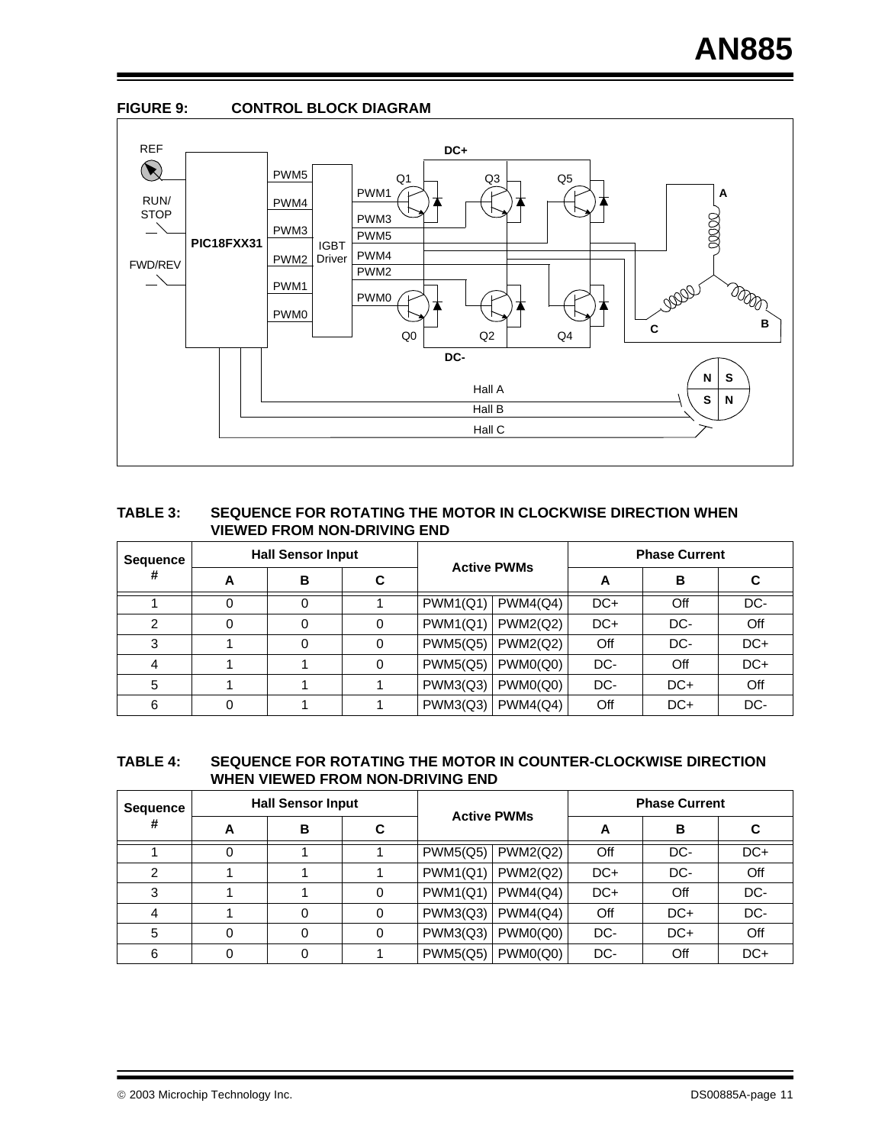<span id="page-10-0"></span>



#### <span id="page-10-1"></span>**TABLE 3: SEQUENCE FOR ROTATING THE MOTOR IN CLOCKWISE DIRECTION WHEN VIEWED FROM NON-DRIVING END**

| Sequence | <b>Hall Sensor Input</b> |   |  | <b>Active PWMs</b> |          | <b>Phase Current</b> |       |       |
|----------|--------------------------|---|--|--------------------|----------|----------------------|-------|-------|
| π        | А                        | В |  |                    |          | A                    | B     |       |
|          |                          |   |  | <b>PWM1(Q1)</b>    | PWMA(Q4) | DC+                  | Off   | DC-   |
| 2        | 0                        | 0 |  | PWM1(Q1)           | PWM2(Q2) | $DC+$                | DC-   | Off   |
|          |                          | 0 |  | PWM5(Q5)           | PWM2(Q2) | Off                  | DC-   | $DC+$ |
|          |                          |   |  | <b>PWM5(Q5)</b>    | PWMO(Q0) | DC-                  | Off   | $DC+$ |
|          |                          |   |  | PWM3(Q3)           | PWMO(Q0) | DC-                  | $DC+$ | Off   |
|          |                          |   |  | PWM3(Q3)           | PWM4(Q4) | Off                  | $DC+$ | DC-   |

#### <span id="page-10-2"></span>**TABLE 4: SEQUENCE FOR ROTATING THE MOTOR IN COUNTER-CLOCKWISE DIRECTION WHEN VIEWED FROM NON-DRIVING END**

| <b>Sequence</b> | <b>Hall Sensor Input</b> |   |   | <b>Active PWMs</b> |          | <b>Phase Current</b> |       |       |
|-----------------|--------------------------|---|---|--------------------|----------|----------------------|-------|-------|
| #               | А                        | В |   |                    |          | A                    | в     | С     |
|                 |                          |   |   | PWM5(Q5)           | PWM2(Q2) | Off                  | DC-   | $DC+$ |
|                 |                          |   |   | PWM1(Q1)           | PWM2(Q2) | $DC+$                | DC-   | Off   |
| 3               |                          |   |   | PWM1(Q1)           | PWMA(Q4) | $DC+$                | Off   | DC-   |
|                 |                          | 0 | 0 | PWM3(Q3)           | PWMA(Q4) | Off                  | $DC+$ | DC-   |
| 5               | 0                        | 0 |   | PWM3(Q3)           | PWMO(Q0) | DC-                  | $DC+$ | Off   |
| 6               |                          |   |   | PWM5(Q5)           | PWMO(Q0) | DC-                  | Off   | $DC+$ |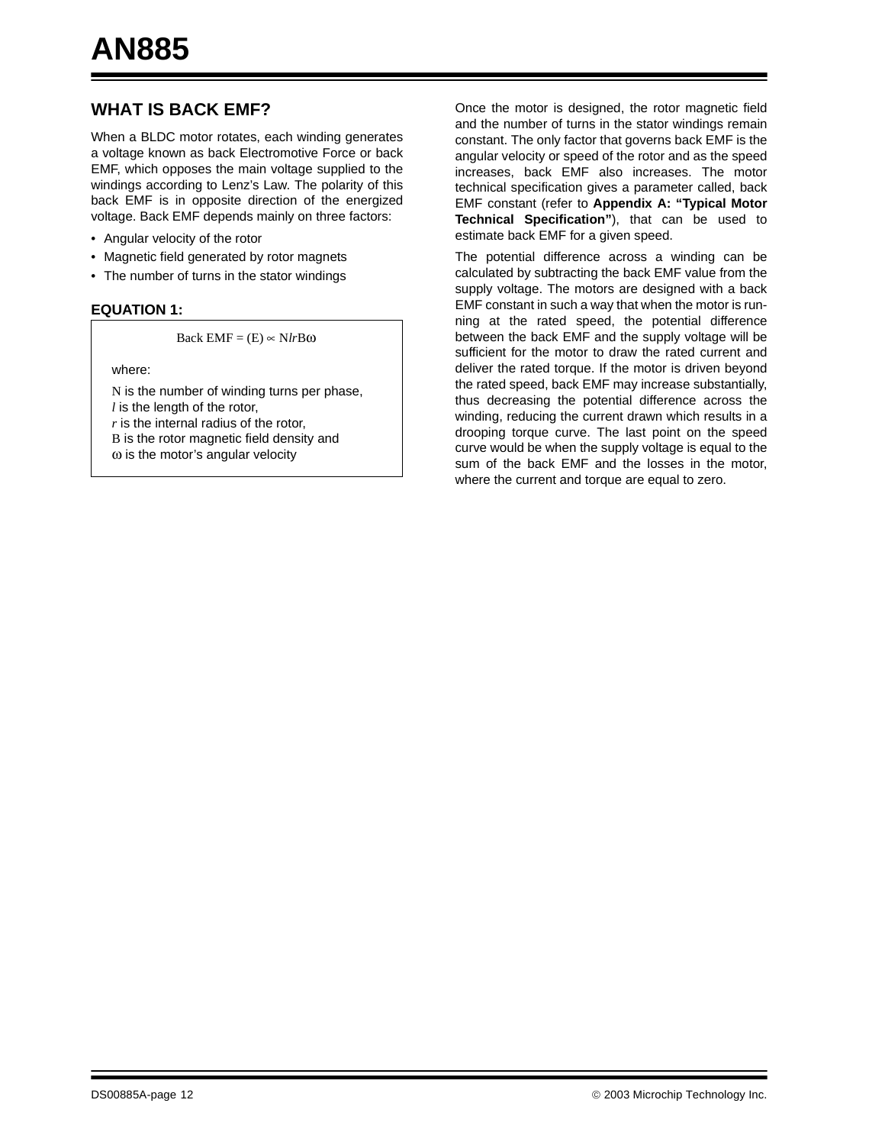# <span id="page-11-0"></span>**WHAT IS BACK EMF?**

When a BLDC motor rotates, each winding generates a voltage known as back Electromotive Force or back EMF, which opposes the main voltage supplied to the windings according to Lenz's Law. The polarity of this back EMF is in opposite direction of the energized voltage. Back EMF depends mainly on three factors:

- Angular velocity of the rotor
- Magnetic field generated by rotor magnets
- The number of turns in the stator windings

#### **EQUATION 1:**

Back  $EMF = (E) \approx N/rB\omega$ 

where:

N is the number of winding turns per phase, *l* is the length of the rotor, *r* is the internal radius of the rotor, B is the rotor magnetic field density and  $\omega$  is the motor's angular velocity

Once the motor is designed, the rotor magnetic field and the number of turns in the stator windings remain constant. The only factor that governs back EMF is the angular velocity or speed of the rotor and as the speed increases, back EMF also increases. The motor technical specification gives a parameter called, back EMF constant (refer to **[Appendix A: "Typical Motor](#page-16-0) [Technical Specification"](#page-16-0)**), that can be used to estimate back EMF for a given speed.

The potential difference across a winding can be calculated by subtracting the back EMF value from the supply voltage. The motors are designed with a back EMF constant in such a way that when the motor is running at the rated speed, the potential difference between the back EMF and the supply voltage will be sufficient for the motor to draw the rated current and deliver the rated torque. If the motor is driven beyond the rated speed, back EMF may increase substantially, thus decreasing the potential difference across the winding, reducing the current drawn which results in a drooping torque curve. The last point on the speed curve would be when the supply voltage is equal to the sum of the back EMF and the losses in the motor, where the current and torque are equal to zero.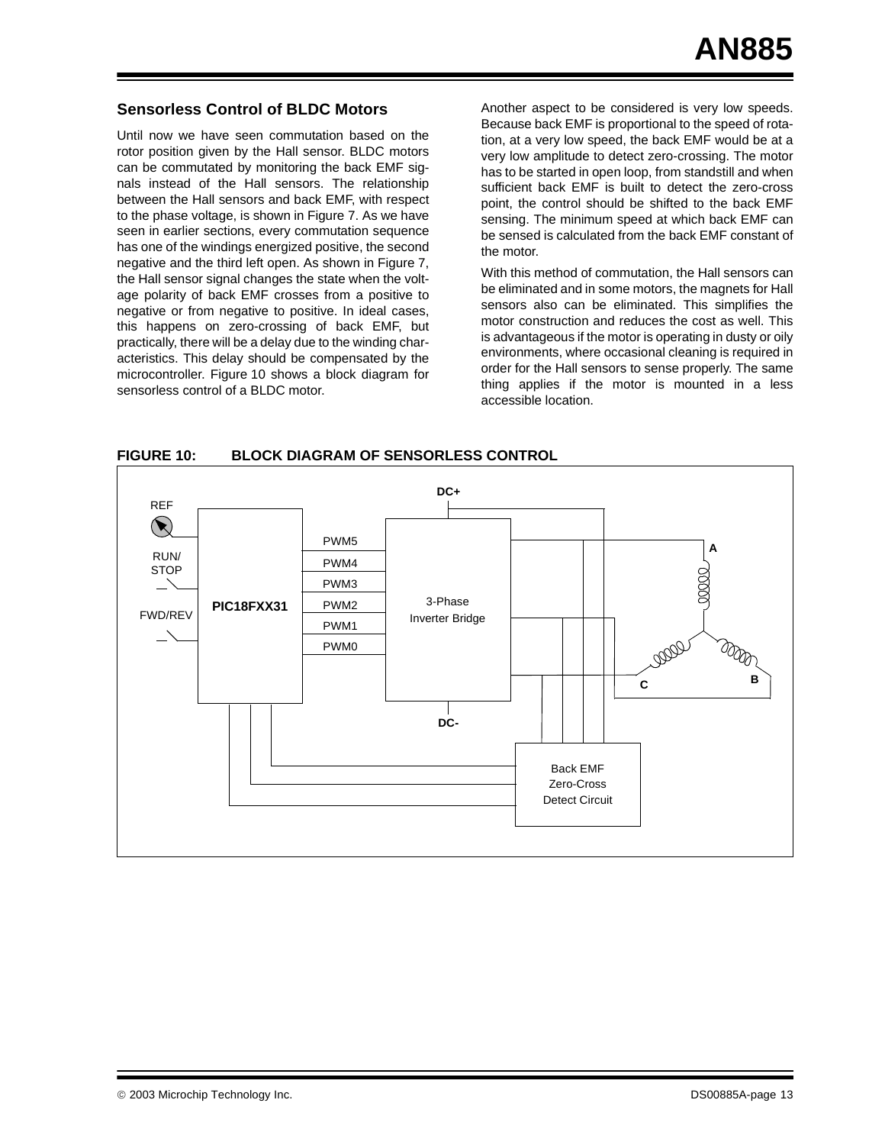#### **Sensorless Control of BLDC Motors**

Until now we have seen commutation based on the rotor position given by the Hall sensor. BLDC motors can be commutated by monitoring the back EMF signals instead of the Hall sensors. The relationship between the Hall sensors and back EMF, with respect to the phase voltage, is shown in [Figure 7.](#page-8-0) As we have seen in earlier sections, every commutation sequence has one of the windings energized positive, the second negative and the third left open. As shown in [Figure 7](#page-8-0), the Hall sensor signal changes the state when the voltage polarity of back EMF crosses from a positive to negative or from negative to positive. In ideal cases, this happens on zero-crossing of back EMF, but practically, there will be a delay due to the winding characteristics. This delay should be compensated by the microcontroller. [Figure 10](#page-12-0) shows a block diagram for sensorless control of a BLDC motor.

Another aspect to be considered is very low speeds. Because back EMF is proportional to the speed of rotation, at a very low speed, the back EMF would be at a very low amplitude to detect zero-crossing. The motor has to be started in open loop, from standstill and when sufficient back EMF is built to detect the zero-cross point, the control should be shifted to the back EMF sensing. The minimum speed at which back EMF can be sensed is calculated from the back EMF constant of the motor.

With this method of commutation, the Hall sensors can be eliminated and in some motors, the magnets for Hall sensors also can be eliminated. This simplifies the motor construction and reduces the cost as well. This is advantageous if the motor is operating in dusty or oily environments, where occasional cleaning is required in order for the Hall sensors to sense properly. The same thing applies if the motor is mounted in a less accessible location.



<span id="page-12-0"></span>**FIGURE 10: BLOCK DIAGRAM OF SENSORLESS CONTROL**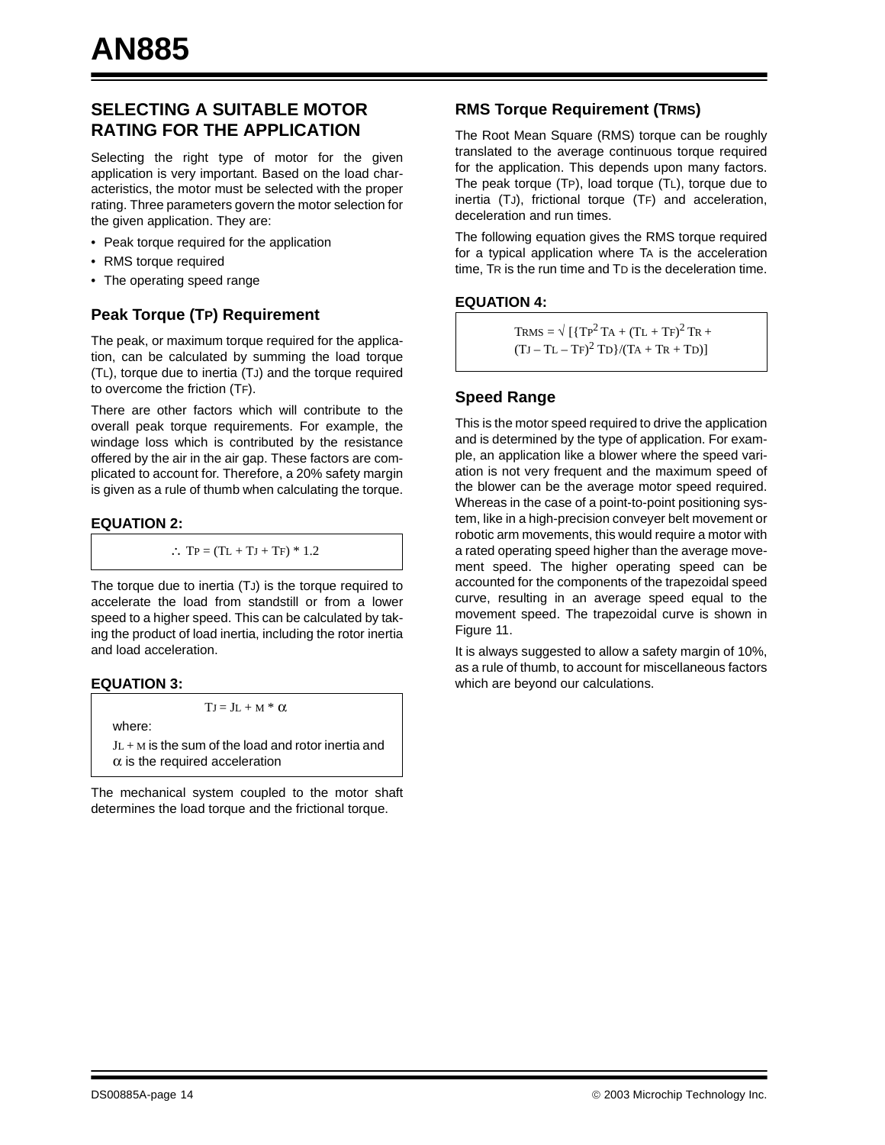# <span id="page-13-0"></span>**SELECTING A SUITABLE MOTOR RATING FOR THE APPLICATION**

Selecting the right type of motor for the given application is very important. Based on the load characteristics, the motor must be selected with the proper rating. Three parameters govern the motor selection for the given application. They are:

- Peak torque required for the application
- RMS torque required
- The operating speed range

# **Peak Torque (TP) Requirement**

The peak, or maximum torque required for the application, can be calculated by summing the load torque (TL), torque due to inertia (TJ) and the torque required to overcome the friction (TF).

There are other factors which will contribute to the overall peak torque requirements. For example, the windage loss which is contributed by the resistance offered by the air in the air gap. These factors are complicated to account for. Therefore, a 20% safety margin is given as a rule of thumb when calculating the torque.

#### **EQUATION 2:**

$$
\therefore TP = (TL + TJ + TF) * 1.2
$$

The torque due to inertia (TJ) is the torque required to accelerate the load from standstill or from a lower speed to a higher speed. This can be calculated by taking the product of load inertia, including the rotor inertia and load acceleration.

#### **EQUATION 3:**

 $TJ = JL + M * \alpha$ 

where:

 $JL + M$  is the sum of the load and rotor inertia and  $\alpha$  is the required acceleration

The mechanical system coupled to the motor shaft determines the load torque and the frictional torque.

#### **RMS Torque Requirement (TRMS)**

The Root Mean Square (RMS) torque can be roughly translated to the average continuous torque required for the application. This depends upon many factors. The peak torque (TP), load torque (TL), torque due to inertia (TJ), frictional torque (TF) and acceleration, deceleration and run times.

The following equation gives the RMS torque required for a typical application where TA is the acceleration time, TR is the run time and TD is the deceleration time.

#### **EQUATION 4:**

 $TRMS = \sqrt{\left[\left\{TP^2\right\}TA + (TL + TF)^2TR +\right\}}$  $(TJ - TL - TF)^{2} TD/(TA + TR + TD)]$ 

#### **Speed Range**

This is the motor speed required to drive the application and is determined by the type of application. For example, an application like a blower where the speed variation is not very frequent and the maximum speed of the blower can be the average motor speed required. Whereas in the case of a point-to-point positioning system, like in a high-precision conveyer belt movement or robotic arm movements, this would require a motor with a rated operating speed higher than the average movement speed. The higher operating speed can be accounted for the components of the trapezoidal speed curve, resulting in an average speed equal to the movement speed. The trapezoidal curve is shown in [Figure 11](#page-14-0).

It is always suggested to allow a safety margin of 10%, as a rule of thumb, to account for miscellaneous factors which are beyond our calculations.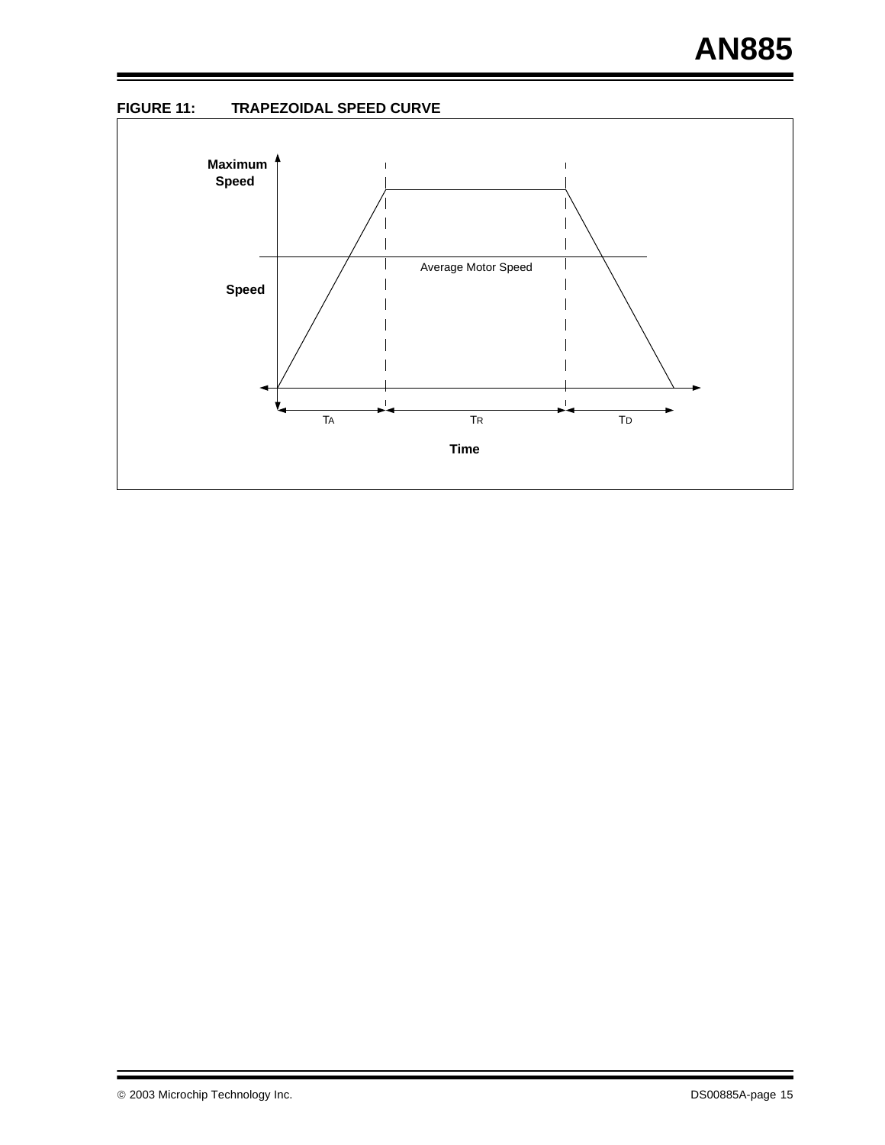<span id="page-14-0"></span>

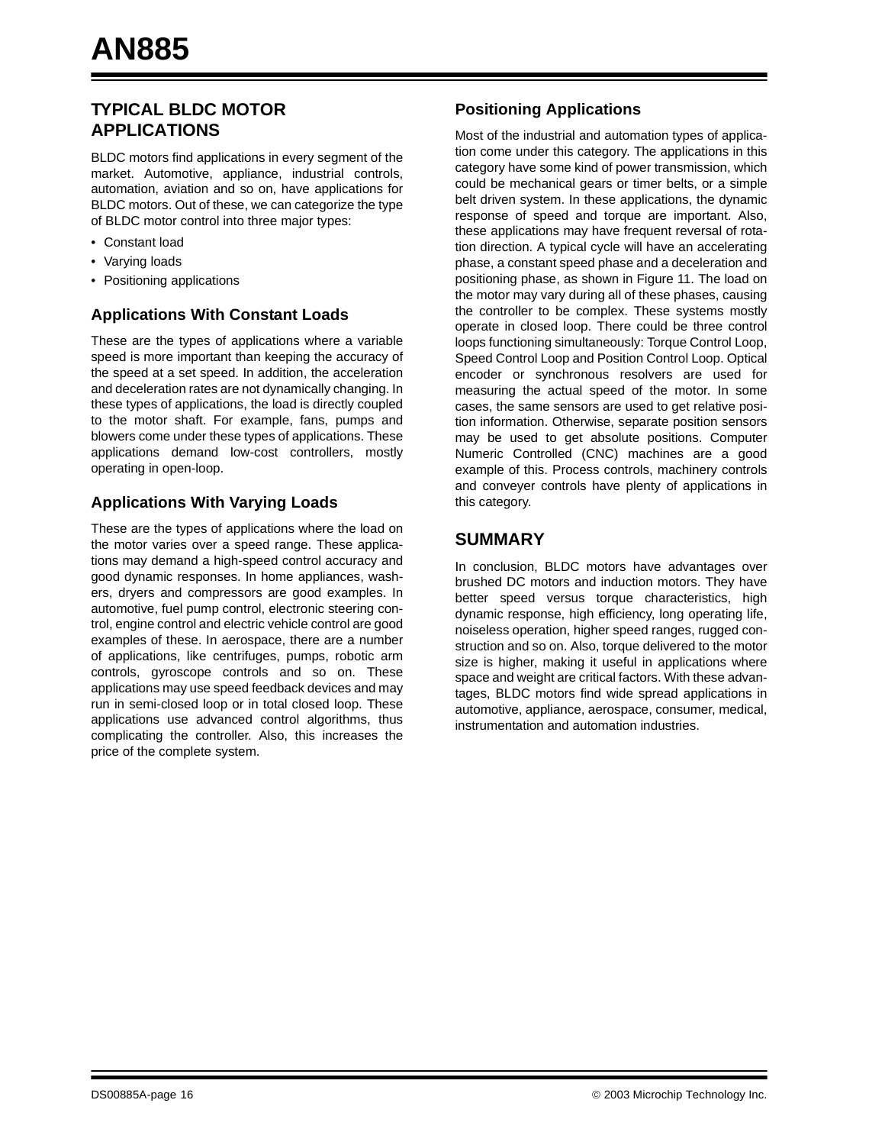# **TYPICAL BLDC MOTOR APPLICATIONS**

BLDC motors find applications in every segment of the market. Automotive, appliance, industrial controls, automation, aviation and so on, have applications for BLDC motors. Out of these, we can categorize the type of BLDC motor control into three major types:

- Constant load
- Varying loads
- Positioning applications

#### **Applications With Constant Loads**

These are the types of applications where a variable speed is more important than keeping the accuracy of the speed at a set speed. In addition, the acceleration and deceleration rates are not dynamically changing. In these types of applications, the load is directly coupled to the motor shaft. For example, fans, pumps and blowers come under these types of applications. These applications demand low-cost controllers, mostly operating in open-loop.

# **Applications With Varying Loads**

These are the types of applications where the load on the motor varies over a speed range. These applications may demand a high-speed control accuracy and good dynamic responses. In home appliances, washers, dryers and compressors are good examples. In automotive, fuel pump control, electronic steering control, engine control and electric vehicle control are good examples of these. In aerospace, there are a number of applications, like centrifuges, pumps, robotic arm controls, gyroscope controls and so on. These applications may use speed feedback devices and may run in semi-closed loop or in total closed loop. These applications use advanced control algorithms, thus complicating the controller. Also, this increases the price of the complete system.

#### **Positioning Applications**

Most of the industrial and automation types of application come under this category. The applications in this category have some kind of power transmission, which could be mechanical gears or timer belts, or a simple belt driven system. In these applications, the dynamic response of speed and torque are important. Also, these applications may have frequent reversal of rotation direction. A typical cycle will have an accelerating phase, a constant speed phase and a deceleration and positioning phase, as shown in [Figure 11](#page-14-0). The load on the motor may vary during all of these phases, causing the controller to be complex. These systems mostly operate in closed loop. There could be three control loops functioning simultaneously: Torque Control Loop, Speed Control Loop and Position Control Loop. Optical encoder or synchronous resolvers are used for measuring the actual speed of the motor. In some cases, the same sensors are used to get relative position information. Otherwise, separate position sensors may be used to get absolute positions. Computer Numeric Controlled (CNC) machines are a good example of this. Process controls, machinery controls and conveyer controls have plenty of applications in this category.

# **SUMMARY**

In conclusion, BLDC motors have advantages over brushed DC motors and induction motors. They have better speed versus torque characteristics, high dynamic response, high efficiency, long operating life, noiseless operation, higher speed ranges, rugged construction and so on. Also, torque delivered to the motor size is higher, making it useful in applications where space and weight are critical factors. With these advantages, BLDC motors find wide spread applications in automotive, appliance, aerospace, consumer, medical, instrumentation and automation industries.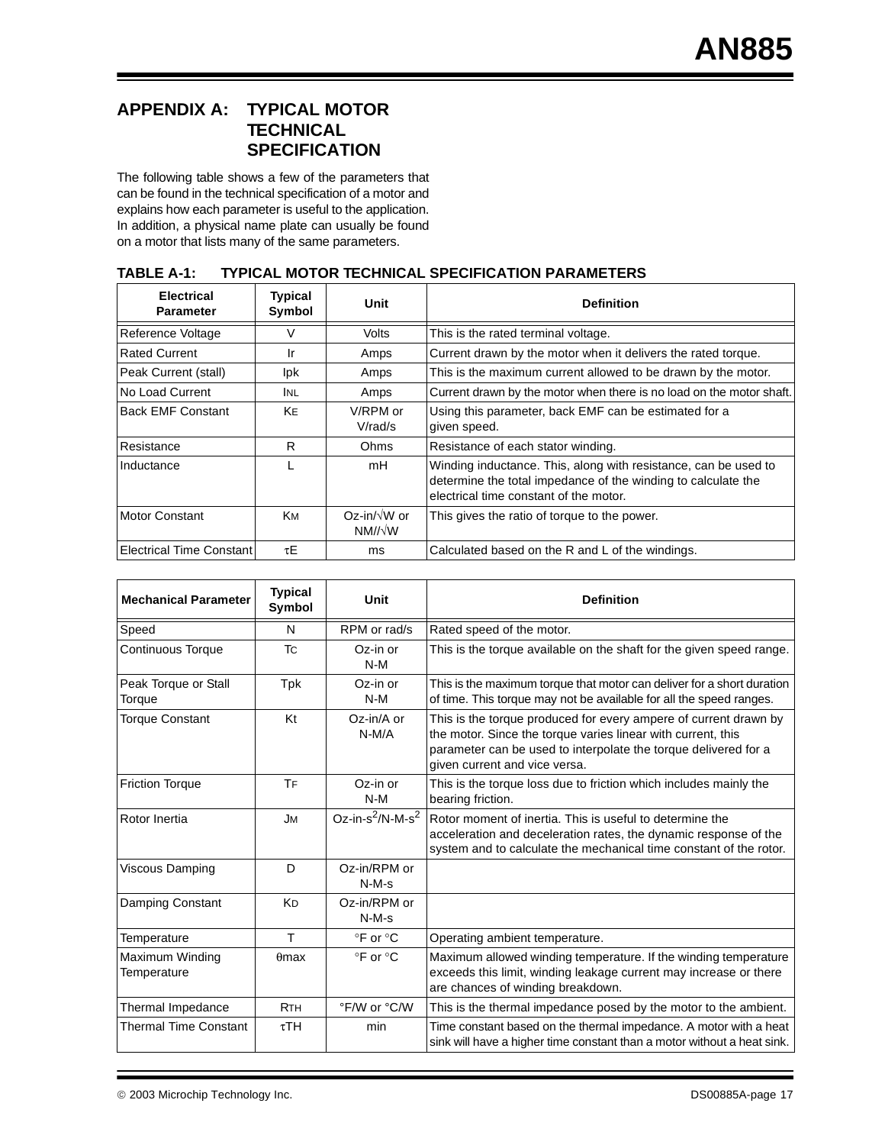# <span id="page-16-0"></span>**APPENDIX A: TYPICAL MOTOR TECHNICAL SPECIFICATION**

The following table shows a few of the parameters that can be found in the technical specification of a motor and explains how each parameter is useful to the application. In addition, a physical name plate can usually be found on a motor that lists many of the same parameters.

#### **TABLE A-1: TYPICAL MOTOR TECHNICAL SPECIFICATION PARAMETERS**

| <b>Electrical</b><br><b>Parameter</b> | <b>Typical</b><br>Symbol | Unit                                  | <b>Definition</b>                                                                                                                                                          |
|---------------------------------------|--------------------------|---------------------------------------|----------------------------------------------------------------------------------------------------------------------------------------------------------------------------|
| Reference Voltage                     |                          | Volts                                 | This is the rated terminal voltage.                                                                                                                                        |
| Rated Current                         | Ir                       | Amps                                  | Current drawn by the motor when it delivers the rated torque.                                                                                                              |
| Peak Current (stall)                  | lpk.                     | Amps                                  | This is the maximum current allowed to be drawn by the motor.                                                                                                              |
| No Load Current                       | INL                      | Amps                                  | Current drawn by the motor when there is no load on the motor shaft.                                                                                                       |
| IBack EMF Constant                    | KE                       | V/RPM or<br>V/rad/s                   | Using this parameter, back EMF can be estimated for a<br>given speed.                                                                                                      |
| Resistance                            | R                        | Ohms                                  | Resistance of each stator winding.                                                                                                                                         |
| Inductance                            |                          | mH                                    | Winding inductance. This, along with resistance, can be used to<br>determine the total impedance of the winding to calculate the<br>electrical time constant of the motor. |
| Motor Constant                        | Kм                       | $Oz-in/\sqrt{W}$ or<br>$NM//\sqrt{W}$ | This gives the ratio of torque to the power.                                                                                                                               |
| <b>Electrical Time Constant</b>       | τE                       | ms                                    | Calculated based on the R and L of the windings.                                                                                                                           |

| <b>Mechanical Parameter</b>    | <b>Typical</b><br>Symbol | Unit                     | <b>Definition</b>                                                                                                                                                                                                                    |
|--------------------------------|--------------------------|--------------------------|--------------------------------------------------------------------------------------------------------------------------------------------------------------------------------------------------------------------------------------|
| Speed                          | N                        | RPM or rad/s             | Rated speed of the motor.                                                                                                                                                                                                            |
| <b>Continuous Torque</b>       | <b>TC</b>                | Oz-in or<br>$N-M$        | This is the torque available on the shaft for the given speed range.                                                                                                                                                                 |
| Peak Torque or Stall<br>Torque | Tpk                      | Oz-in or<br>N-M          | This is the maximum torque that motor can deliver for a short duration<br>of time. This torque may not be available for all the speed ranges.                                                                                        |
| <b>Torque Constant</b>         | Kt                       | Oz-in/A or<br>$N-M/A$    | This is the torque produced for every ampere of current drawn by<br>the motor. Since the torque varies linear with current, this<br>parameter can be used to interpolate the torque delivered for a<br>given current and vice versa. |
| <b>Friction Torque</b>         | TF                       | Oz-in or<br>N-M          | This is the torque loss due to friction which includes mainly the<br>bearing friction.                                                                                                                                               |
| Rotor Inertia                  | Jм                       | Oz-in- $s^2/N$ -M- $s^2$ | Rotor moment of inertia. This is useful to determine the<br>acceleration and deceleration rates, the dynamic response of the<br>system and to calculate the mechanical time constant of the rotor.                                   |
| Viscous Damping                | D                        | Oz-in/RPM or<br>$N-M-s$  |                                                                                                                                                                                                                                      |
| Damping Constant               | KD                       | Oz-in/RPM or<br>$N-M-s$  |                                                                                                                                                                                                                                      |
| Temperature                    | T                        | °F or °C                 | Operating ambient temperature.                                                                                                                                                                                                       |
| Maximum Winding<br>Temperature | $\theta$ max             | °F or °C                 | Maximum allowed winding temperature. If the winding temperature<br>exceeds this limit, winding leakage current may increase or there<br>are chances of winding breakdown.                                                            |
| Thermal Impedance              | <b>RTH</b>               | °F/W or °C/W             | This is the thermal impedance posed by the motor to the ambient.                                                                                                                                                                     |
| <b>Thermal Time Constant</b>   | $\tau$ TH                | min                      | Time constant based on the thermal impedance. A motor with a heat<br>sink will have a higher time constant than a motor without a heat sink.                                                                                         |

2003 Microchip Technology Inc. DS00885A-page 17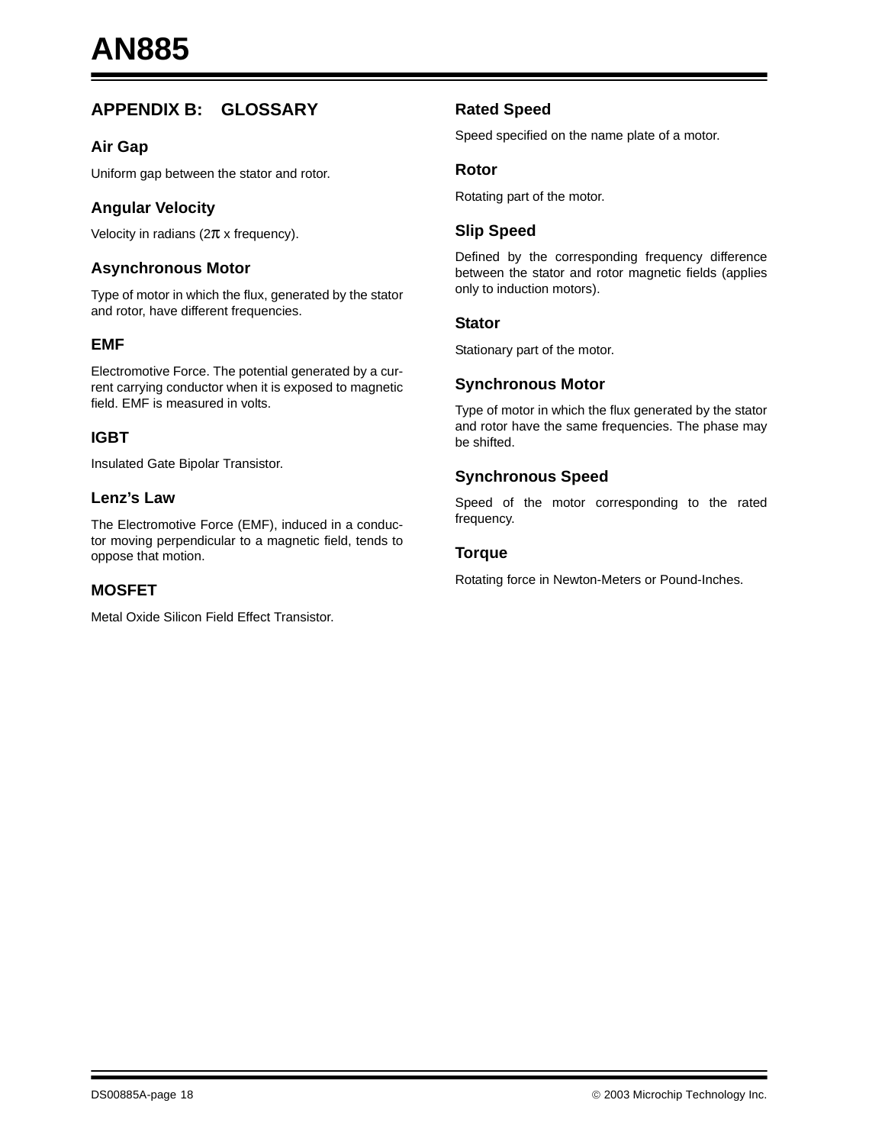# <span id="page-17-0"></span>**APPENDIX B: GLOSSARY**

# **Air Gap**

Uniform gap between the stator and rotor.

# **Angular Velocity**

Velocity in radians ( $2\pi$  x frequency).

# **Asynchronous Motor**

Type of motor in which the flux, generated by the stator and rotor, have different frequencies.

# **EMF**

Electromotive Force. The potential generated by a current carrying conductor when it is exposed to magnetic field. EMF is measured in volts.

# **IGBT**

Insulated Gate Bipolar Transistor.

#### **Lenz's Law**

The Electromotive Force (EMF), induced in a conductor moving perpendicular to a magnetic field, tends to oppose that motion.

#### **MOSFET**

Metal Oxide Silicon Field Effect Transistor.

#### **Rated Speed**

Speed specified on the name plate of a motor.

#### **Rotor**

Rotating part of the motor.

#### **Slip Speed**

Defined by the corresponding frequency difference between the stator and rotor magnetic fields (applies only to induction motors).

#### **Stator**

Stationary part of the motor.

#### **Synchronous Motor**

Type of motor in which the flux generated by the stator and rotor have the same frequencies. The phase may be shifted.

#### **Synchronous Speed**

Speed of the motor corresponding to the rated frequency.

#### **Torque**

Rotating force in Newton-Meters or Pound-Inches.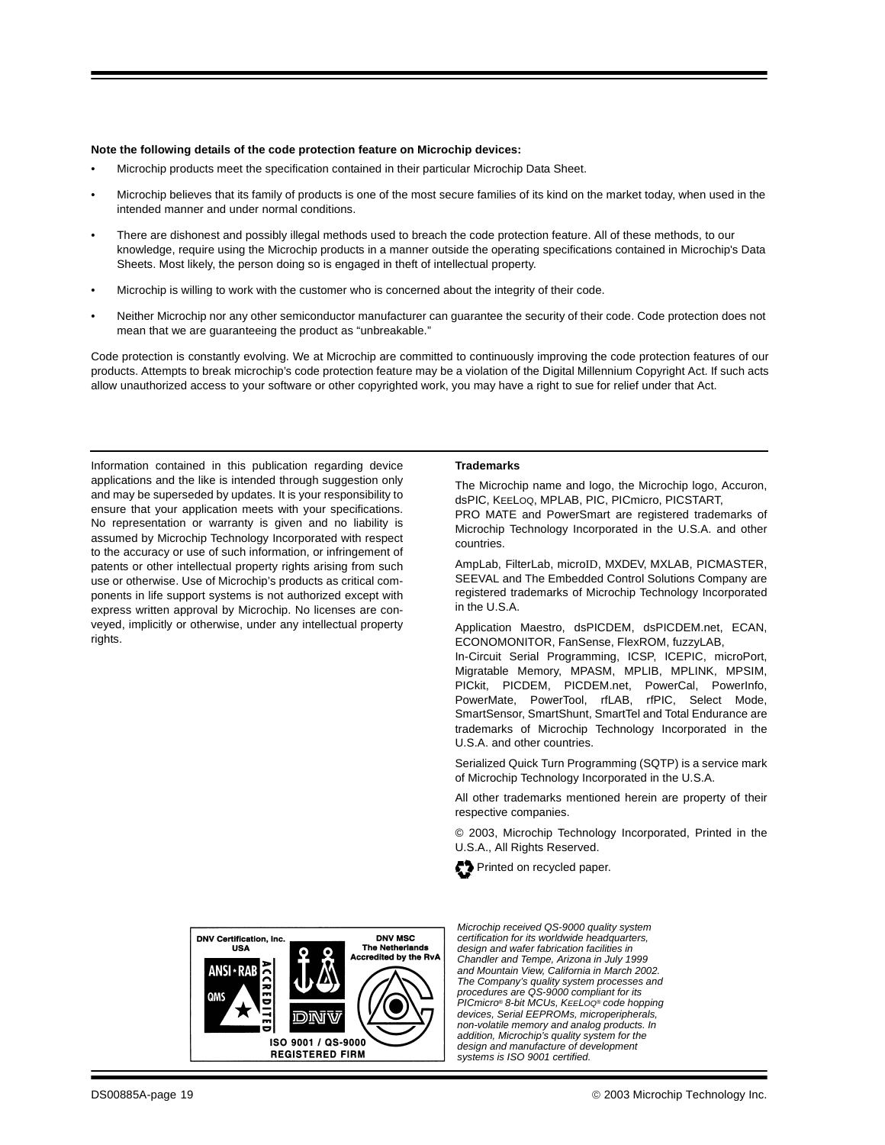#### **Note the following details of the code protection feature on Microchip devices:**

- Microchip products meet the specification contained in their particular Microchip Data Sheet.
- Microchip believes that its family of products is one of the most secure families of its kind on the market today, when used in the intended manner and under normal conditions.
- There are dishonest and possibly illegal methods used to breach the code protection feature. All of these methods, to our knowledge. require using the Microchip products in a manner outside the operating specifications contained in Microchip's Data Sheets. Most likely, the person doing so is engaged in theft of intellectual property.
- Microchip is willing to work with the customer who is concerned about the integrity of their code.
- Neither Microchip nor any other semiconductor manufacturer can guarantee the security of their code. Code protection does not mean that we are guaranteeing the product as "unbreakable."

Code protection is constantly evolving. We at Microchip are committed to continuously improving the code protection features of our products. Attempts to break microchip's code protection feature may be a violation of the Digital Millennium Copyright Act. If such acts allow unauthorized access to your software or other copyrighted work, you may have a right to sue for relief under that Act.

Information contained in this publication regarding device applications and the like is intended through suggestion only and may be superseded by updates. It is your responsibility to ensure that your application meets with your specifications. No representation or warranty is given and no liability is assumed by Microchip Technology Incorporated with respect to the accuracy or use of such information, or infringement of patents or other intellectual property rights arising from such use or otherwise. Use of Microchip's products as critical components in life support systems is not authorized except with express written approval by Microchip. No licenses are conveyed, implicitly or otherwise, under any intellectual property rights

#### **Trademarks**

The Microchip name and logo, the Microchip logo, Accuron, dsPIC, KEELOQ, MPLAB, PIC, PICmicro, PICSTART, PRO MATE and PowerSmart are registered trademarks of

Microchip Technology Incorporated in the U.S.A. and other countries.

AmpLab, FilterLab, microID, MXDEV, MXLAB, PICMASTER, SEEVAL and The Embedded Control Solutions Company are registered trademarks of Microchip Technology Incorporated in the U.S.A.

Application Maestro, dsPICDEM, dsPICDEM.net, ECAN, ECONOMONITOR, FanSense, FlexROM, fuzzyLAB,

In-Circuit Serial Programming, ICSP, ICEPIC, microPort, Migratable Memory, MPASM, MPLIB, MPLINK, MPSIM, PICkit, PICDEM, PICDEM.net, PowerCal, PowerInfo, PowerMate, PowerTool, rfLAB, rfPIC, Select Mode, SmartSensor, SmartShunt, SmartTel and Total Endurance are trademarks of Microchip Technology Incorporated in the U.S.A. and other countries.

Serialized Quick Turn Programming (SQTP) is a service mark of Microchip Technology Incorporated in the U.S.A.

All other trademarks mentioned herein are property of their respective companies.

© 2003, Microchip Technology Incorporated, Printed in the U.S.A., All Rights Reserved.





*Microchip received QS-9000 quality system certification for its worldwide headquarters, design and wafer fabrication facilities in Chandler and Tempe, Arizona in July 1999 and Mountain View, California in March 2002. The Company's quality system processes and procedures are QS-9000 compliant for its PICmicro® 8-bit MCUs, KEELOQ® code hopping devices, Serial EEPROMs, microperipherals, non-volatile memory and analog products. In addition, Microchip's quality system for the design and manufacture of development systems is ISO 9001 certified.*